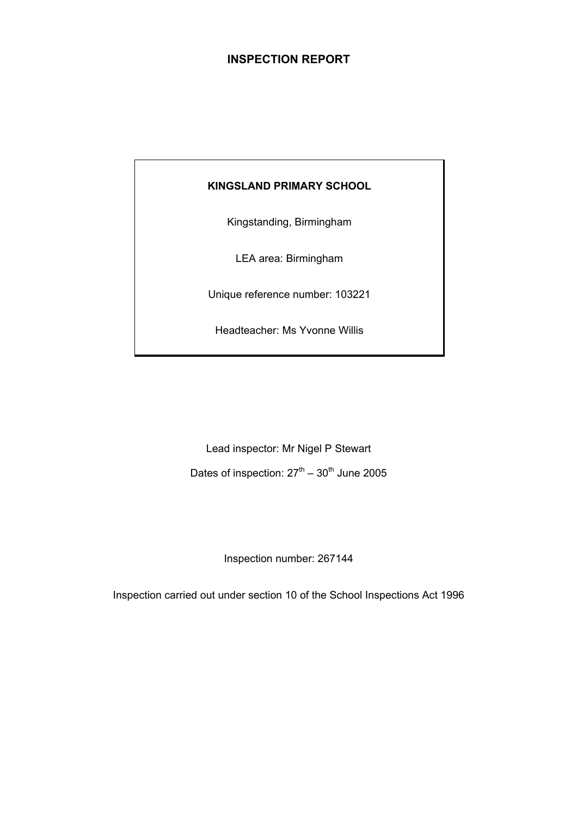# **INSPECTION REPORT**

# **KINGSLAND PRIMARY SCHOOL**

Kingstanding, Birmingham

LEA area: Birmingham

Unique reference number: 103221

Headteacher: Ms Yvonne Willis

Lead inspector: Mr Nigel P Stewart Dates of inspection:  $27<sup>th</sup> - 30<sup>th</sup>$  June 2005

Inspection number: 267144

Inspection carried out under section 10 of the School Inspections Act 1996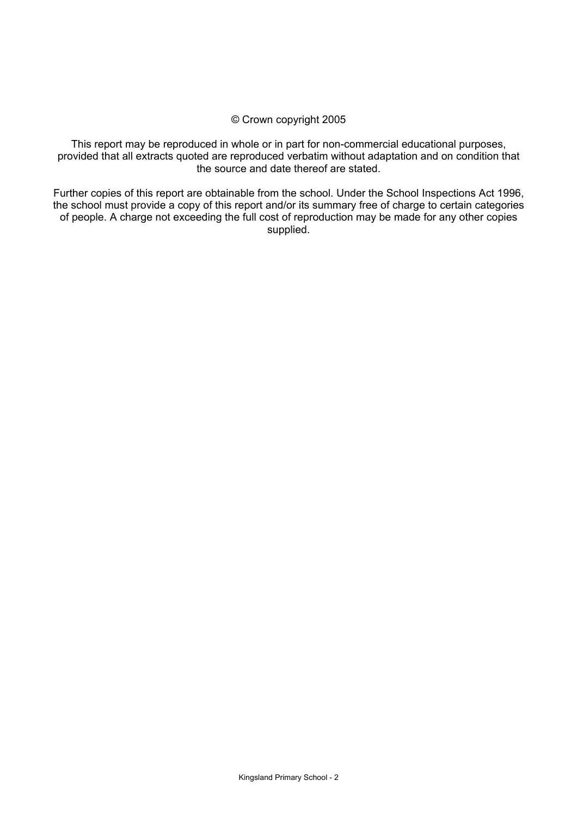#### © Crown copyright 2005

This report may be reproduced in whole or in part for non-commercial educational purposes, provided that all extracts quoted are reproduced verbatim without adaptation and on condition that the source and date thereof are stated.

Further copies of this report are obtainable from the school. Under the School Inspections Act 1996, the school must provide a copy of this report and/or its summary free of charge to certain categories of people. A charge not exceeding the full cost of reproduction may be made for any other copies supplied.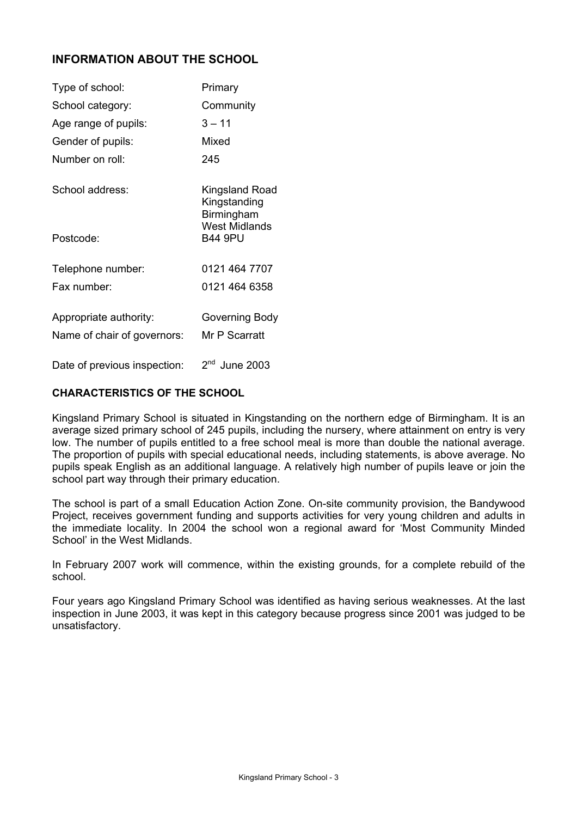# **INFORMATION ABOUT THE SCHOOL**

| Type of school:             | Primary                                      |
|-----------------------------|----------------------------------------------|
| School category:            | Community                                    |
| Age range of pupils:        | 3 – 11                                       |
| Gender of pupils:           | Mixed                                        |
| Number on roll:             | 245                                          |
| School address:             | Kingsland Road<br>Kingstanding<br>Birmingham |
| Postcode:                   | <b>West Midlands</b><br><b>B44 9PU</b>       |
| Telephone number:           | 0121 464 7707                                |
| Fax number:                 | 0121 464 6358                                |
| Appropriate authority:      | Governing Body                               |
| Name of chair of governors: | Mr P Scarratt                                |
|                             | اسما                                         |

Date of previous inspection:  $2<sup>nd</sup>$  June 2003

# **CHARACTERISTICS OF THE SCHOOL**

Kingsland Primary School is situated in Kingstanding on the northern edge of Birmingham. It is an average sized primary school of 245 pupils, including the nursery, where attainment on entry is very low. The number of pupils entitled to a free school meal is more than double the national average. The proportion of pupils with special educational needs, including statements, is above average. No pupils speak English as an additional language. A relatively high number of pupils leave or join the school part way through their primary education.

The school is part of a small Education Action Zone. On-site community provision, the Bandywood Project, receives government funding and supports activities for very young children and adults in the immediate locality. In 2004 the school won a regional award for 'Most Community Minded School' in the West Midlands.

In February 2007 work will commence, within the existing grounds, for a complete rebuild of the school.

Four years ago Kingsland Primary School was identified as having serious weaknesses. At the last inspection in June 2003, it was kept in this category because progress since 2001 was judged to be unsatisfactory.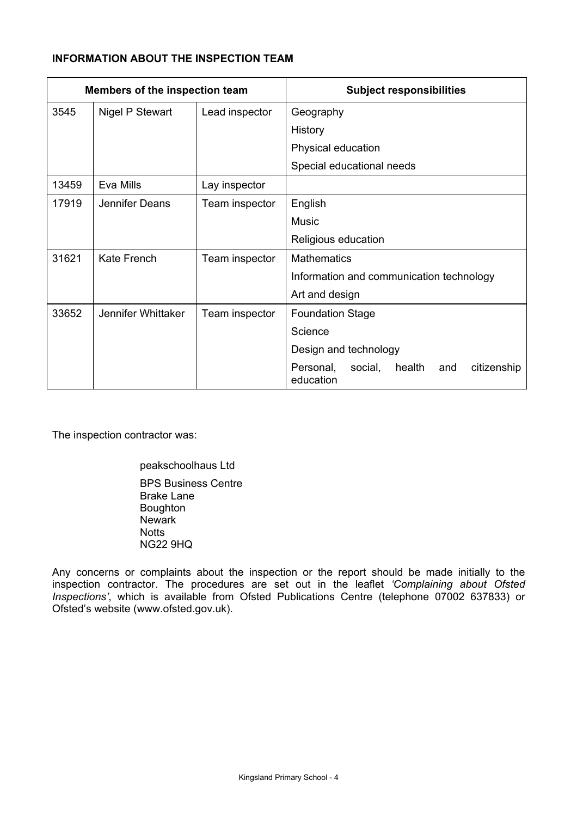# **INFORMATION ABOUT THE INSPECTION TEAM**

| Members of the inspection team |                        |                | <b>Subject responsibilities</b>                                   |
|--------------------------------|------------------------|----------------|-------------------------------------------------------------------|
| 3545                           | <b>Nigel P Stewart</b> | Lead inspector | Geography                                                         |
|                                |                        |                | History                                                           |
|                                |                        |                | Physical education                                                |
|                                |                        |                | Special educational needs                                         |
| 13459                          | Eva Mills              | Lay inspector  |                                                                   |
| 17919                          | Jennifer Deans         | Team inspector | English                                                           |
|                                |                        |                | <b>Music</b>                                                      |
|                                |                        |                | Religious education                                               |
| 31621                          | Kate French            | Team inspector | <b>Mathematics</b>                                                |
|                                |                        |                | Information and communication technology                          |
|                                |                        |                | Art and design                                                    |
| 33652                          | Jennifer Whittaker     | Team inspector | <b>Foundation Stage</b>                                           |
|                                |                        |                | Science                                                           |
|                                |                        |                | Design and technology                                             |
|                                |                        |                | social,<br>health<br>citizenship<br>Personal,<br>and<br>education |

The inspection contractor was:

 peakschoolhaus Ltd BPS Business Centre Brake Lane Boughton Newark **Notts** NG22 9HQ

Any concerns or complaints about the inspection or the report should be made initially to the inspection contractor. The procedures are set out in the leaflet *'Complaining about Ofsted Inspections'*, which is available from Ofsted Publications Centre (telephone 07002 637833) or Ofsted's website (www.ofsted.gov.uk).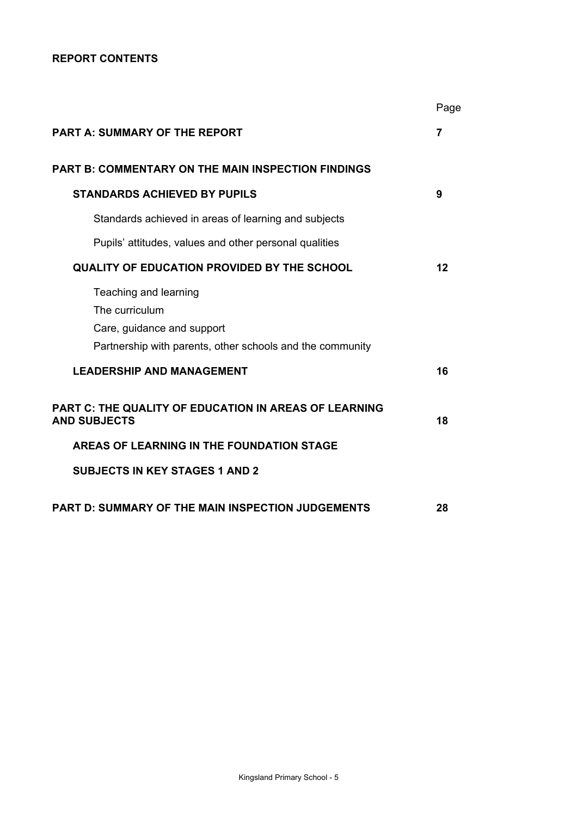# **REPORT CONTENTS**

|                                                                                                                                    | Page |
|------------------------------------------------------------------------------------------------------------------------------------|------|
| <b>PART A: SUMMARY OF THE REPORT</b>                                                                                               | 7    |
| <b>PART B: COMMENTARY ON THE MAIN INSPECTION FINDINGS</b>                                                                          |      |
| <b>STANDARDS ACHIEVED BY PUPILS</b>                                                                                                | 9    |
| Standards achieved in areas of learning and subjects                                                                               |      |
| Pupils' attitudes, values and other personal qualities                                                                             |      |
| QUALITY OF EDUCATION PROVIDED BY THE SCHOOL                                                                                        | 12   |
| Teaching and learning<br>The curriculum<br>Care, guidance and support<br>Partnership with parents, other schools and the community |      |
| <b>LEADERSHIP AND MANAGEMENT</b>                                                                                                   | 16   |
| PART C: THE QUALITY OF EDUCATION IN AREAS OF LEARNING<br><b>AND SUBJECTS</b>                                                       | 18   |
| AREAS OF LEARNING IN THE FOUNDATION STAGE                                                                                          |      |
| <b>SUBJECTS IN KEY STAGES 1 AND 2</b>                                                                                              |      |
| <b>PART D: SUMMARY OF THE MAIN INSPECTION JUDGEMENTS</b>                                                                           | 28   |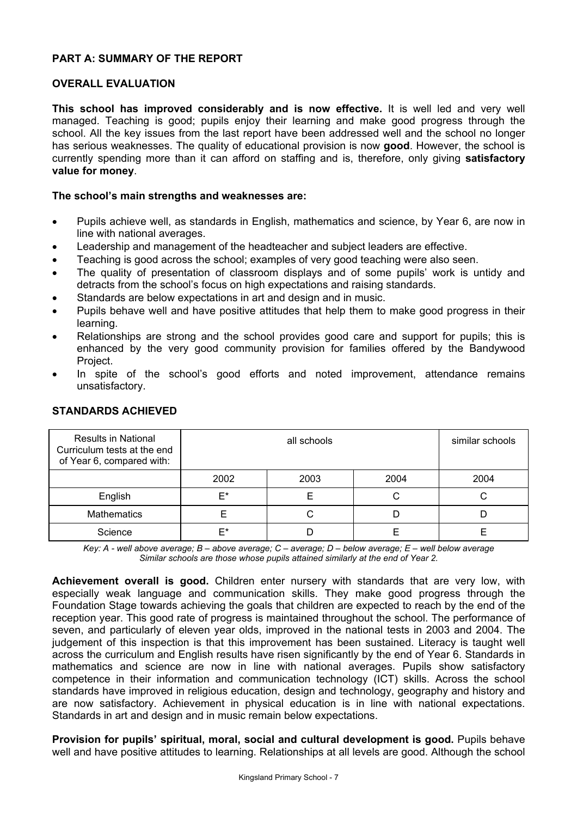# **PART A: SUMMARY OF THE REPORT**

## **OVERALL EVALUATION**

**This school has improved considerably and is now effective.** It is well led and very well managed. Teaching is good; pupils enjoy their learning and make good progress through the school. All the key issues from the last report have been addressed well and the school no longer has serious weaknesses. The quality of educational provision is now **good**. However, the school is currently spending more than it can afford on staffing and is, therefore, only giving **satisfactory value for money**.

#### **The school's main strengths and weaknesses are:**

- Pupils achieve well, as standards in English, mathematics and science, by Year 6, are now in line with national averages.
- Leadership and management of the headteacher and subject leaders are effective.
- Teaching is good across the school; examples of very good teaching were also seen.
- The quality of presentation of classroom displays and of some pupils' work is untidy and detracts from the school's focus on high expectations and raising standards.
- Standards are below expectations in art and design and in music.
- Pupils behave well and have positive attitudes that help them to make good progress in their learning.
- Relationships are strong and the school provides good care and support for pupils; this is enhanced by the very good community provision for families offered by the Bandywood Project.
- In spite of the school's good efforts and noted improvement, attendance remains unsatisfactory.

| <b>Results in National</b><br>Curriculum tests at the end<br>of Year 6, compared with: |      | similar schools |      |      |
|----------------------------------------------------------------------------------------|------|-----------------|------|------|
|                                                                                        | 2002 | 2003            | 2004 | 2004 |
| English                                                                                | F*   |                 |      |      |
| <b>Mathematics</b>                                                                     |      |                 |      |      |
| Science                                                                                | ⊏∗   |                 |      |      |

### **STANDARDS ACHIEVED**

*Key: A - well above average; B – above average; C – average; D – below average; E – well below average Similar schools are those whose pupils attained similarly at the end of Year 2.* 

**Achievement overall is good.** Children enter nursery with standards that are very low, with especially weak language and communication skills. They make good progress through the Foundation Stage towards achieving the goals that children are expected to reach by the end of the reception year. This good rate of progress is maintained throughout the school. The performance of seven, and particularly of eleven year olds, improved in the national tests in 2003 and 2004. The judgement of this inspection is that this improvement has been sustained. Literacy is taught well across the curriculum and English results have risen significantly by the end of Year 6. Standards in mathematics and science are now in line with national averages. Pupils show satisfactory competence in their information and communication technology (ICT) skills. Across the school standards have improved in religious education, design and technology, geography and history and are now satisfactory. Achievement in physical education is in line with national expectations. Standards in art and design and in music remain below expectations.

**Provision for pupils' spiritual, moral, social and cultural development is good.** Pupils behave well and have positive attitudes to learning. Relationships at all levels are good. Although the school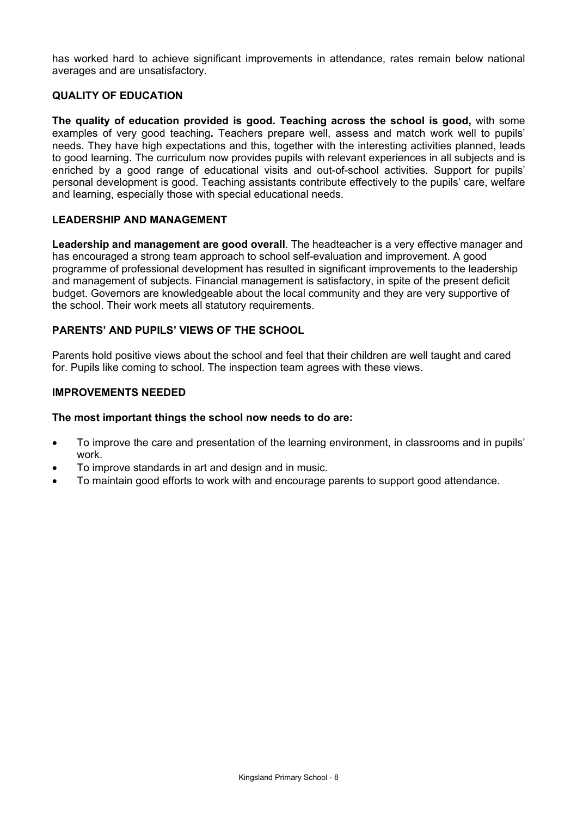has worked hard to achieve significant improvements in attendance, rates remain below national averages and are unsatisfactory.

# **QUALITY OF EDUCATION**

**The quality of education provided is good. Teaching across the school is good,** with some examples of very good teaching**.** Teachers prepare well, assess and match work well to pupils' needs. They have high expectations and this, together with the interesting activities planned, leads to good learning. The curriculum now provides pupils with relevant experiences in all subjects and is enriched by a good range of educational visits and out-of-school activities. Support for pupils' personal development is good. Teaching assistants contribute effectively to the pupils' care, welfare and learning, especially those with special educational needs.

# **LEADERSHIP AND MANAGEMENT**

**Leadership and management are good overall**. The headteacher is a very effective manager and has encouraged a strong team approach to school self-evaluation and improvement. A good programme of professional development has resulted in significant improvements to the leadership and management of subjects. Financial management is satisfactory, in spite of the present deficit budget. Governors are knowledgeable about the local community and they are very supportive of the school. Their work meets all statutory requirements.

# **PARENTS' AND PUPILS' VIEWS OF THE SCHOOL**

Parents hold positive views about the school and feel that their children are well taught and cared for. Pupils like coming to school. The inspection team agrees with these views.

### **IMPROVEMENTS NEEDED**

#### **The most important things the school now needs to do are:**

- To improve the care and presentation of the learning environment, in classrooms and in pupils' work.
- To improve standards in art and design and in music.
- To maintain good efforts to work with and encourage parents to support good attendance.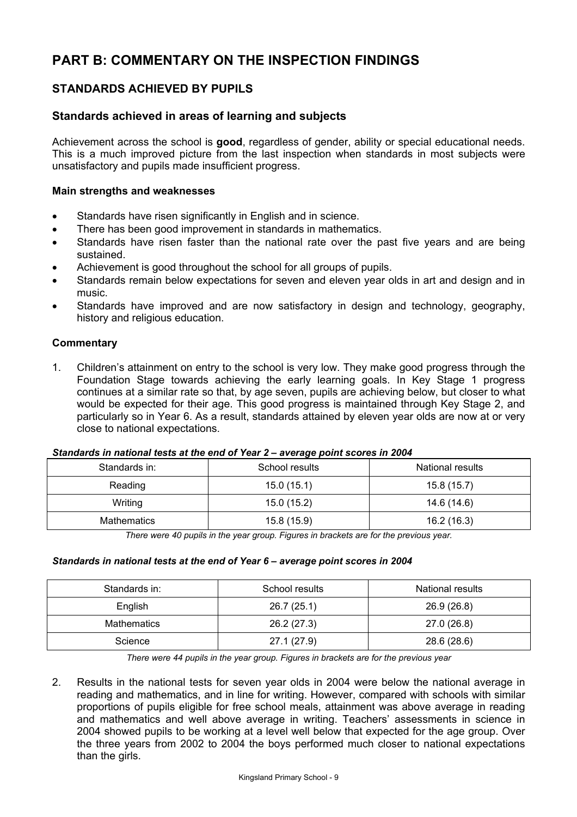# **PART B: COMMENTARY ON THE INSPECTION FINDINGS**

# **STANDARDS ACHIEVED BY PUPILS**

# **Standards achieved in areas of learning and subjects**

Achievement across the school is **good**, regardless of gender, ability or special educational needs. This is a much improved picture from the last inspection when standards in most subjects were unsatisfactory and pupils made insufficient progress.

### **Main strengths and weaknesses**

- Standards have risen significantly in English and in science.
- There has been good improvement in standards in mathematics.
- Standards have risen faster than the national rate over the past five years and are being sustained.
- Achievement is good throughout the school for all groups of pupils.
- Standards remain below expectations for seven and eleven year olds in art and design and in music.
- Standards have improved and are now satisfactory in design and technology, geography, history and religious education.

### **Commentary**

1. Children's attainment on entry to the school is very low. They make good progress through the Foundation Stage towards achieving the early learning goals. In Key Stage 1 progress continues at a similar rate so that, by age seven, pupils are achieving below, but closer to what would be expected for their age. This good progress is maintained through Key Stage 2, and particularly so in Year 6. As a result, standards attained by eleven year olds are now at or very close to national expectations.

#### *Standards in national tests at the end of Year 2 – average point scores in 2004*

| Standards in: | School results | National results |
|---------------|----------------|------------------|
| Reading       | 15.0(15.1)     | 15.8(15.7)       |
| Writing       | 15.0(15.2)     | 14.6 (14.6)      |
| Mathematics   | 15.8 (15.9)    | 16.2(16.3)       |

*There were 40 pupils in the year group. Figures in brackets are for the previous year.* 

#### *Standards in national tests at the end of Year 6 – average point scores in 2004*

| Standards in: | School results | National results |
|---------------|----------------|------------------|
| English       | 26.7(25.1)     | 26.9 (26.8)      |
| Mathematics   | 26.2 (27.3)    | 27.0 (26.8)      |
| Science       | 27.1 (27.9)    | 28.6 (28.6)      |

*There were 44 pupils in the year group. Figures in brackets are for the previous year* 

2. Results in the national tests for seven year olds in 2004 were below the national average in reading and mathematics, and in line for writing. However, compared with schools with similar proportions of pupils eligible for free school meals, attainment was above average in reading and mathematics and well above average in writing. Teachers' assessments in science in 2004 showed pupils to be working at a level well below that expected for the age group. Over the three years from 2002 to 2004 the boys performed much closer to national expectations than the girls.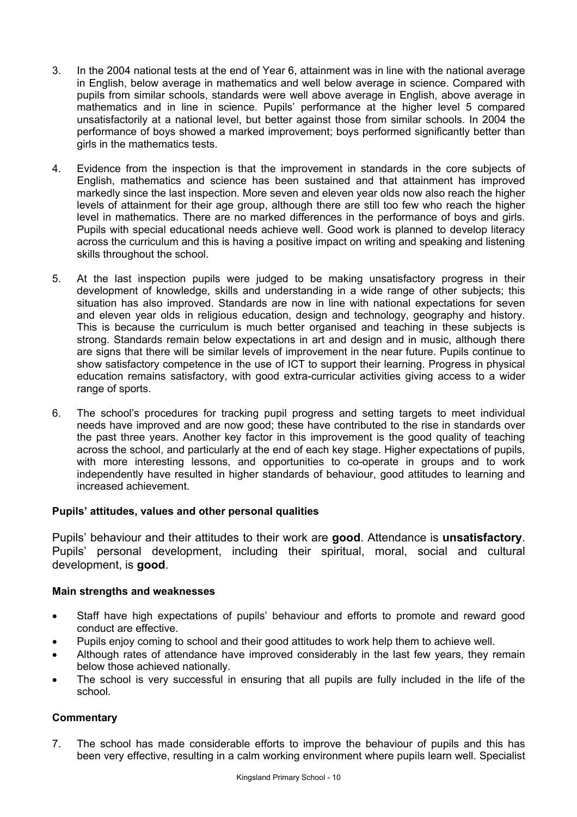- 3. In the 2004 national tests at the end of Year 6, attainment was in line with the national average in English, below average in mathematics and well below average in science. Compared with pupils from similar schools, standards were well above average in English, above average in mathematics and in line in science. Pupils' performance at the higher level 5 compared unsatisfactorily at a national level, but better against those from similar schools. In 2004 the performance of boys showed a marked improvement; boys performed significantly better than girls in the mathematics tests.
- 4. Evidence from the inspection is that the improvement in standards in the core subjects of English, mathematics and science has been sustained and that attainment has improved markedly since the last inspection. More seven and eleven year olds now also reach the higher levels of attainment for their age group, although there are still too few who reach the higher level in mathematics. There are no marked differences in the performance of boys and girls. Pupils with special educational needs achieve well. Good work is planned to develop literacy across the curriculum and this is having a positive impact on writing and speaking and listening skills throughout the school.
- 5. At the last inspection pupils were judged to be making unsatisfactory progress in their development of knowledge, skills and understanding in a wide range of other subjects; this situation has also improved. Standards are now in line with national expectations for seven and eleven year olds in religious education, design and technology, geography and history. This is because the curriculum is much better organised and teaching in these subjects is strong. Standards remain below expectations in art and design and in music, although there are signs that there will be similar levels of improvement in the near future. Pupils continue to show satisfactory competence in the use of ICT to support their learning. Progress in physical education remains satisfactory, with good extra-curricular activities giving access to a wider range of sports.
- 6. The school's procedures for tracking pupil progress and setting targets to meet individual needs have improved and are now good; these have contributed to the rise in standards over the past three years. Another key factor in this improvement is the good quality of teaching across the school, and particularly at the end of each key stage. Higher expectations of pupils, with more interesting lessons, and opportunities to co-operate in groups and to work independently have resulted in higher standards of behaviour, good attitudes to learning and increased achievement.

# **Pupils' attitudes, values and other personal qualities**

Pupils' behaviour and their attitudes to their work are **good**. Attendance is **unsatisfactory**. Pupils' personal development, including their spiritual, moral, social and cultural development, is **good**.

# **Main strengths and weaknesses**

- Staff have high expectations of pupils' behaviour and efforts to promote and reward good conduct are effective.
- Pupils enjoy coming to school and their good attitudes to work help them to achieve well.
- Although rates of attendance have improved considerably in the last few years, they remain below those achieved nationally.
- The school is very successful in ensuring that all pupils are fully included in the life of the school.

# **Commentary**

7. The school has made considerable efforts to improve the behaviour of pupils and this has been very effective, resulting in a calm working environment where pupils learn well. Specialist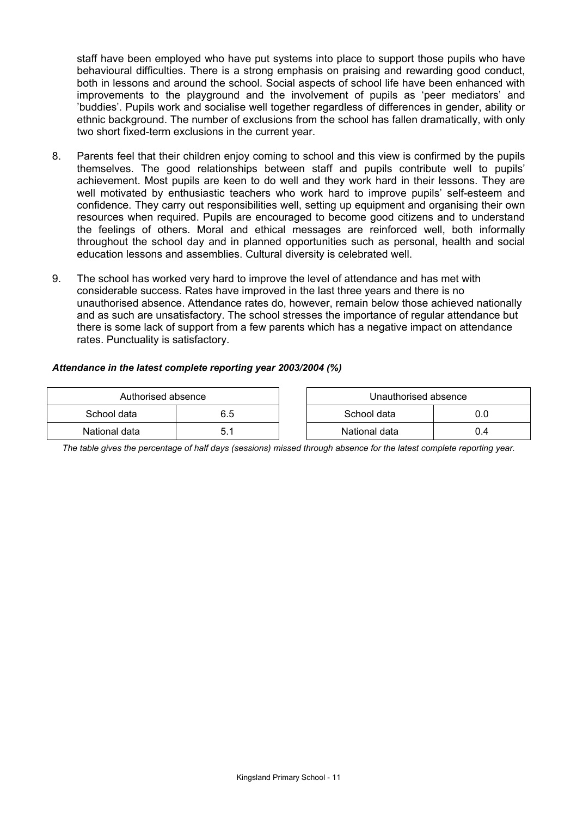staff have been employed who have put systems into place to support those pupils who have behavioural difficulties. There is a strong emphasis on praising and rewarding good conduct, both in lessons and around the school. Social aspects of school life have been enhanced with improvements to the playground and the involvement of pupils as 'peer mediators' and 'buddies'. Pupils work and socialise well together regardless of differences in gender, ability or ethnic background. The number of exclusions from the school has fallen dramatically, with only two short fixed-term exclusions in the current year.

- 8. Parents feel that their children enjoy coming to school and this view is confirmed by the pupils themselves. The good relationships between staff and pupils contribute well to pupils' achievement. Most pupils are keen to do well and they work hard in their lessons. They are well motivated by enthusiastic teachers who work hard to improve pupils' self-esteem and confidence. They carry out responsibilities well, setting up equipment and organising their own resources when required. Pupils are encouraged to become good citizens and to understand the feelings of others. Moral and ethical messages are reinforced well, both informally throughout the school day and in planned opportunities such as personal, health and social education lessons and assemblies. Cultural diversity is celebrated well.
- 9. The school has worked very hard to improve the level of attendance and has met with considerable success. Rates have improved in the last three years and there is no unauthorised absence. Attendance rates do, however, remain below those achieved nationally and as such are unsatisfactory. The school stresses the importance of regular attendance but there is some lack of support from a few parents which has a negative impact on attendance rates. Punctuality is satisfactory.

#### *Attendance in the latest complete reporting year 2003/2004 (%)*

| Authorised absence |  | Unauthorised absence |     |
|--------------------|--|----------------------|-----|
| School data<br>6.5 |  | School data          | J.O |
| National data      |  | National data        | J.4 |

*The table gives the percentage of half days (sessions) missed through absence for the latest complete reporting year.*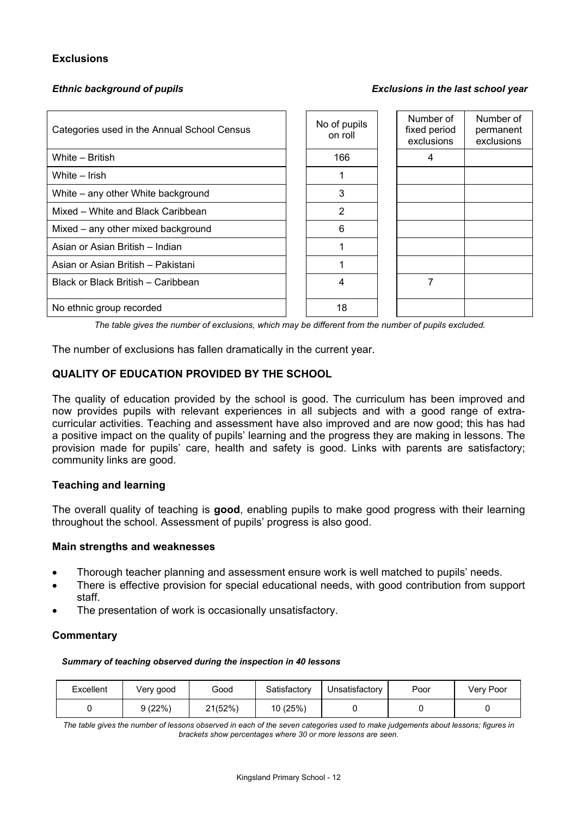# **Exclusions**

#### *Ethnic background of pupils Exclusions in the last school year*

| Categories used in the Annual School Census | No of pupils<br>on roll | Number of<br>fixed period<br>exclusions | Number of<br>permanent<br>exclusions |
|---------------------------------------------|-------------------------|-----------------------------------------|--------------------------------------|
| White - British                             | 166                     | 4                                       |                                      |
| White – Irish                               |                         |                                         |                                      |
| White – any other White background          | 3                       |                                         |                                      |
| Mixed - White and Black Caribbean           | 2                       |                                         |                                      |
| Mixed – any other mixed background          | 6                       |                                         |                                      |
| Asian or Asian British - Indian             |                         |                                         |                                      |
| Asian or Asian British - Pakistani          |                         |                                         |                                      |
| Black or Black British – Caribbean          | 4                       | 7                                       |                                      |
| No ethnic group recorded                    | 18                      |                                         |                                      |

*The table gives the number of exclusions, which may be different from the number of pupils excluded.*

The number of exclusions has fallen dramatically in the current year.

# **QUALITY OF EDUCATION PROVIDED BY THE SCHOOL**

The quality of education provided by the school is good. The curriculum has been improved and now provides pupils with relevant experiences in all subjects and with a good range of extracurricular activities. Teaching and assessment have also improved and are now good; this has had a positive impact on the quality of pupils' learning and the progress they are making in lessons. The provision made for pupils' care, health and safety is good. Links with parents are satisfactory; community links are good.

#### **Teaching and learning**

The overall quality of teaching is **good**, enabling pupils to make good progress with their learning throughout the school. Assessment of pupils' progress is also good.

#### **Main strengths and weaknesses**

- Thorough teacher planning and assessment ensure work is well matched to pupils' needs.
- There is effective provision for special educational needs, with good contribution from support staff.
- The presentation of work is occasionally unsatisfactory.

#### **Commentary**

*Summary of teaching observed during the inspection in 40 lessons*

| Excellent | Very good | Good    | Satisfactory | Unsatisfactory | Poor | Very Poor |
|-----------|-----------|---------|--------------|----------------|------|-----------|
|           | 9 (22%)   | 21(52%) | 10(25%)      |                |      |           |

*The table gives the number of lessons observed in each of the seven categories used to make judgements about lessons; figures in brackets show percentages where 30 or more lessons are seen.*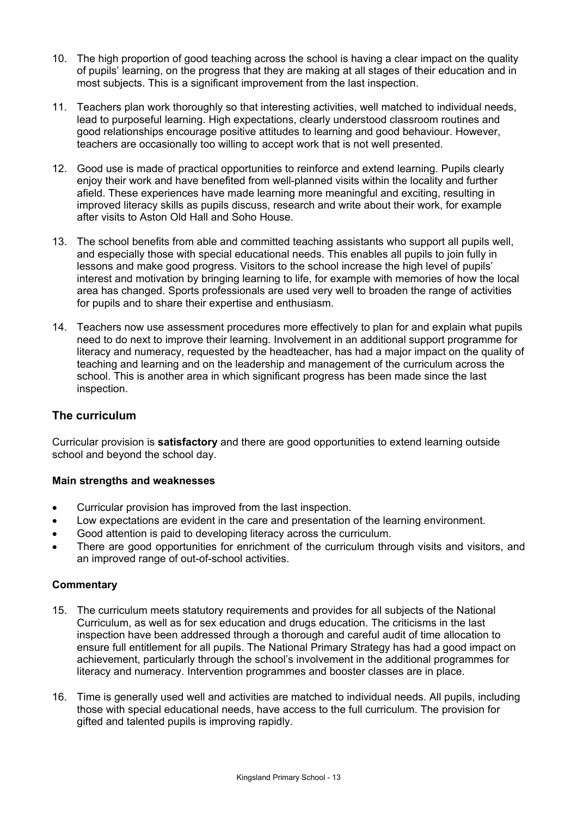- 10. The high proportion of good teaching across the school is having a clear impact on the quality of pupils' learning, on the progress that they are making at all stages of their education and in most subjects. This is a significant improvement from the last inspection.
- 11. Teachers plan work thoroughly so that interesting activities, well matched to individual needs, lead to purposeful learning. High expectations, clearly understood classroom routines and good relationships encourage positive attitudes to learning and good behaviour. However, teachers are occasionally too willing to accept work that is not well presented.
- 12. Good use is made of practical opportunities to reinforce and extend learning. Pupils clearly enjoy their work and have benefited from well-planned visits within the locality and further afield. These experiences have made learning more meaningful and exciting, resulting in improved literacy skills as pupils discuss, research and write about their work, for example after visits to Aston Old Hall and Soho House.
- 13. The school benefits from able and committed teaching assistants who support all pupils well, and especially those with special educational needs. This enables all pupils to join fully in lessons and make good progress. Visitors to the school increase the high level of pupils' interest and motivation by bringing learning to life, for example with memories of how the local area has changed. Sports professionals are used very well to broaden the range of activities for pupils and to share their expertise and enthusiasm.
- 14. Teachers now use assessment procedures more effectively to plan for and explain what pupils need to do next to improve their learning. Involvement in an additional support programme for literacy and numeracy, requested by the headteacher, has had a major impact on the quality of teaching and learning and on the leadership and management of the curriculum across the school. This is another area in which significant progress has been made since the last inspection.

# **The curriculum**

Curricular provision is **satisfactory** and there are good opportunities to extend learning outside school and beyond the school day.

# **Main strengths and weaknesses**

- Curricular provision has improved from the last inspection.
- Low expectations are evident in the care and presentation of the learning environment.
- Good attention is paid to developing literacy across the curriculum.
- There are good opportunities for enrichment of the curriculum through visits and visitors, and an improved range of out-of-school activities.

# **Commentary**

- 15. The curriculum meets statutory requirements and provides for all subjects of the National Curriculum, as well as for sex education and drugs education. The criticisms in the last inspection have been addressed through a thorough and careful audit of time allocation to ensure full entitlement for all pupils. The National Primary Strategy has had a good impact on achievement, particularly through the school's involvement in the additional programmes for literacy and numeracy. Intervention programmes and booster classes are in place.
- 16. Time is generally used well and activities are matched to individual needs. All pupils, including those with special educational needs, have access to the full curriculum. The provision for gifted and talented pupils is improving rapidly.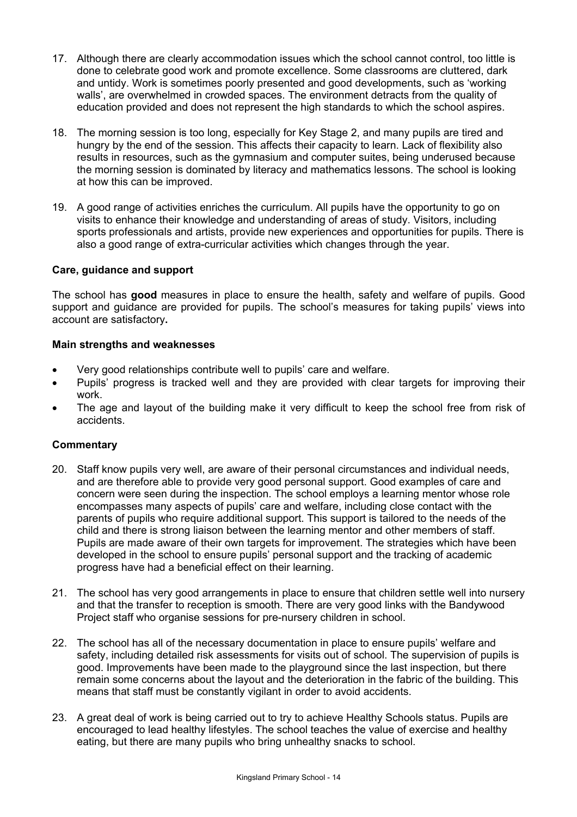- 17. Although there are clearly accommodation issues which the school cannot control, too little is done to celebrate good work and promote excellence. Some classrooms are cluttered, dark and untidy. Work is sometimes poorly presented and good developments, such as 'working walls', are overwhelmed in crowded spaces. The environment detracts from the quality of education provided and does not represent the high standards to which the school aspires.
- 18. The morning session is too long, especially for Key Stage 2, and many pupils are tired and hungry by the end of the session. This affects their capacity to learn. Lack of flexibility also results in resources, such as the gymnasium and computer suites, being underused because the morning session is dominated by literacy and mathematics lessons. The school is looking at how this can be improved.
- 19. A good range of activities enriches the curriculum. All pupils have the opportunity to go on visits to enhance their knowledge and understanding of areas of study. Visitors, including sports professionals and artists, provide new experiences and opportunities for pupils. There is also a good range of extra-curricular activities which changes through the year.

# **Care, guidance and support**

The school has **good** measures in place to ensure the health, safety and welfare of pupils. Good support and guidance are provided for pupils. The school's measures for taking pupils' views into account are satisfactory**.**

#### **Main strengths and weaknesses**

- Very good relationships contribute well to pupils' care and welfare.
- Pupils' progress is tracked well and they are provided with clear targets for improving their work.
- The age and layout of the building make it very difficult to keep the school free from risk of accidents.

# **Commentary**

- 20. Staff know pupils very well, are aware of their personal circumstances and individual needs, and are therefore able to provide very good personal support. Good examples of care and concern were seen during the inspection. The school employs a learning mentor whose role encompasses many aspects of pupils' care and welfare, including close contact with the parents of pupils who require additional support. This support is tailored to the needs of the child and there is strong liaison between the learning mentor and other members of staff. Pupils are made aware of their own targets for improvement. The strategies which have been developed in the school to ensure pupils' personal support and the tracking of academic progress have had a beneficial effect on their learning.
- 21. The school has very good arrangements in place to ensure that children settle well into nursery and that the transfer to reception is smooth. There are very good links with the Bandywood Project staff who organise sessions for pre-nursery children in school.
- 22. The school has all of the necessary documentation in place to ensure pupils' welfare and safety, including detailed risk assessments for visits out of school. The supervision of pupils is good. Improvements have been made to the playground since the last inspection, but there remain some concerns about the layout and the deterioration in the fabric of the building. This means that staff must be constantly vigilant in order to avoid accidents.
- 23. A great deal of work is being carried out to try to achieve Healthy Schools status. Pupils are encouraged to lead healthy lifestyles. The school teaches the value of exercise and healthy eating, but there are many pupils who bring unhealthy snacks to school.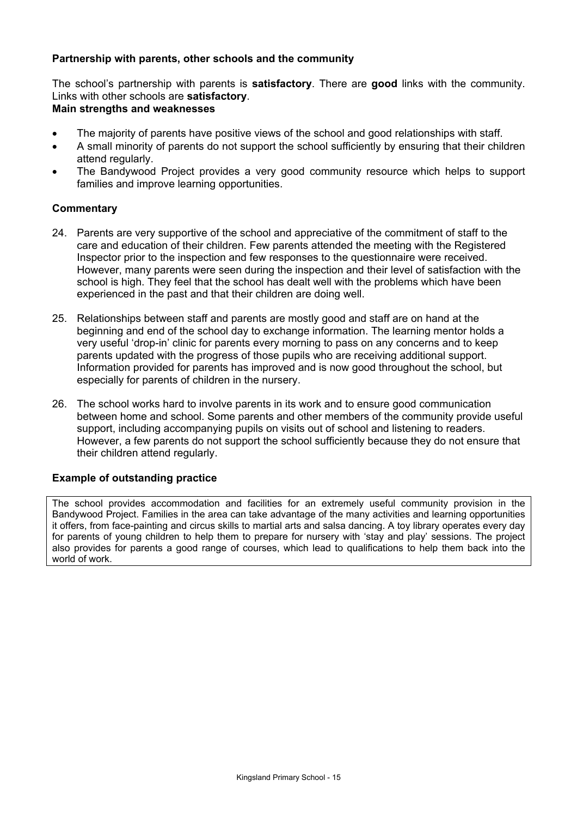# **Partnership with parents, other schools and the community**

The school's partnership with parents is **satisfactory**. There are **good** links with the community. Links with other schools are **satisfactory**.

# **Main strengths and weaknesses**

- The majority of parents have positive views of the school and good relationships with staff.
- A small minority of parents do not support the school sufficiently by ensuring that their children attend regularly.
- The Bandywood Project provides a very good community resource which helps to support families and improve learning opportunities.

# **Commentary**

- 24. Parents are very supportive of the school and appreciative of the commitment of staff to the care and education of their children. Few parents attended the meeting with the Registered Inspector prior to the inspection and few responses to the questionnaire were received. However, many parents were seen during the inspection and their level of satisfaction with the school is high. They feel that the school has dealt well with the problems which have been experienced in the past and that their children are doing well.
- 25. Relationships between staff and parents are mostly good and staff are on hand at the beginning and end of the school day to exchange information. The learning mentor holds a very useful 'drop-in' clinic for parents every morning to pass on any concerns and to keep parents updated with the progress of those pupils who are receiving additional support. Information provided for parents has improved and is now good throughout the school, but especially for parents of children in the nursery.
- 26. The school works hard to involve parents in its work and to ensure good communication between home and school. Some parents and other members of the community provide useful support, including accompanying pupils on visits out of school and listening to readers. However, a few parents do not support the school sufficiently because they do not ensure that their children attend regularly.

# **Example of outstanding practice**

The school provides accommodation and facilities for an extremely useful community provision in the Bandywood Project. Families in the area can take advantage of the many activities and learning opportunities it offers, from face-painting and circus skills to martial arts and salsa dancing. A toy library operates every day for parents of young children to help them to prepare for nursery with 'stay and play' sessions. The project also provides for parents a good range of courses, which lead to qualifications to help them back into the world of work.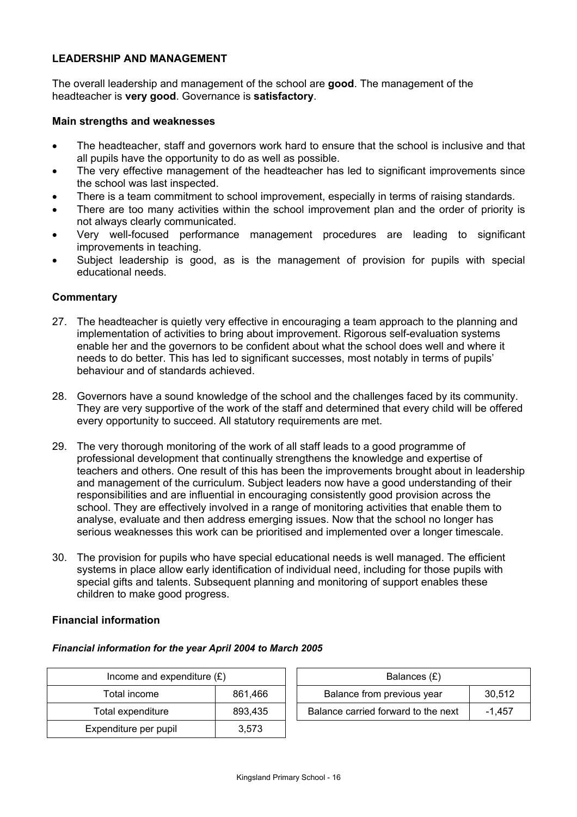# **LEADERSHIP AND MANAGEMENT**

The overall leadership and management of the school are **good**. The management of the headteacher is **very good**. Governance is **satisfactory**.

#### **Main strengths and weaknesses**

- The headteacher, staff and governors work hard to ensure that the school is inclusive and that all pupils have the opportunity to do as well as possible.
- The very effective management of the headteacher has led to significant improvements since the school was last inspected.
- There is a team commitment to school improvement, especially in terms of raising standards.
- There are too many activities within the school improvement plan and the order of priority is not always clearly communicated.
- Very well-focused performance management procedures are leading to significant improvements in teaching.
- Subject leadership is good, as is the management of provision for pupils with special educational needs.

# **Commentary**

- 27. The headteacher is quietly very effective in encouraging a team approach to the planning and implementation of activities to bring about improvement. Rigorous self-evaluation systems enable her and the governors to be confident about what the school does well and where it needs to do better. This has led to significant successes, most notably in terms of pupils' behaviour and of standards achieved.
- 28. Governors have a sound knowledge of the school and the challenges faced by its community. They are very supportive of the work of the staff and determined that every child will be offered every opportunity to succeed. All statutory requirements are met.
- 29. The very thorough monitoring of the work of all staff leads to a good programme of professional development that continually strengthens the knowledge and expertise of teachers and others. One result of this has been the improvements brought about in leadership and management of the curriculum. Subject leaders now have a good understanding of their responsibilities and are influential in encouraging consistently good provision across the school. They are effectively involved in a range of monitoring activities that enable them to analyse, evaluate and then address emerging issues. Now that the school no longer has serious weaknesses this work can be prioritised and implemented over a longer timescale.
- 30. The provision for pupils who have special educational needs is well managed. The efficient systems in place allow early identification of individual need, including for those pupils with special gifts and talents. Subsequent planning and monitoring of support enables these children to make good progress.

# **Financial information**

#### *Financial information for the year April 2004 to March 2005*

| Income and expenditure $(E)$ |         |  | Balances $(E)$                   |
|------------------------------|---------|--|----------------------------------|
| Total income                 | 861.466 |  | Balance from previous year       |
| Total expenditure            | 893.435 |  | Balance carried forward to the r |
| Expenditure per pupil        | 3,573   |  |                                  |

| Income and expenditure $(E)$ |         |                            | Balances (£)                        |        |
|------------------------------|---------|----------------------------|-------------------------------------|--------|
| Total income                 | 861,466 | Balance from previous year |                                     | 30.512 |
| Total expenditure            | 893,435 |                            | Balance carried forward to the next | -1.457 |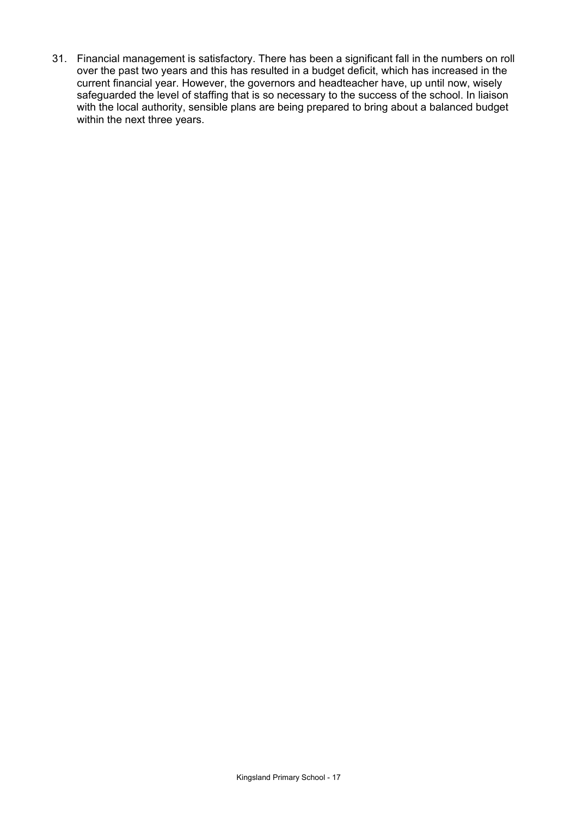31. Financial management is satisfactory. There has been a significant fall in the numbers on roll over the past two years and this has resulted in a budget deficit, which has increased in the current financial year. However, the governors and headteacher have, up until now, wisely safeguarded the level of staffing that is so necessary to the success of the school. In liaison with the local authority, sensible plans are being prepared to bring about a balanced budget within the next three years.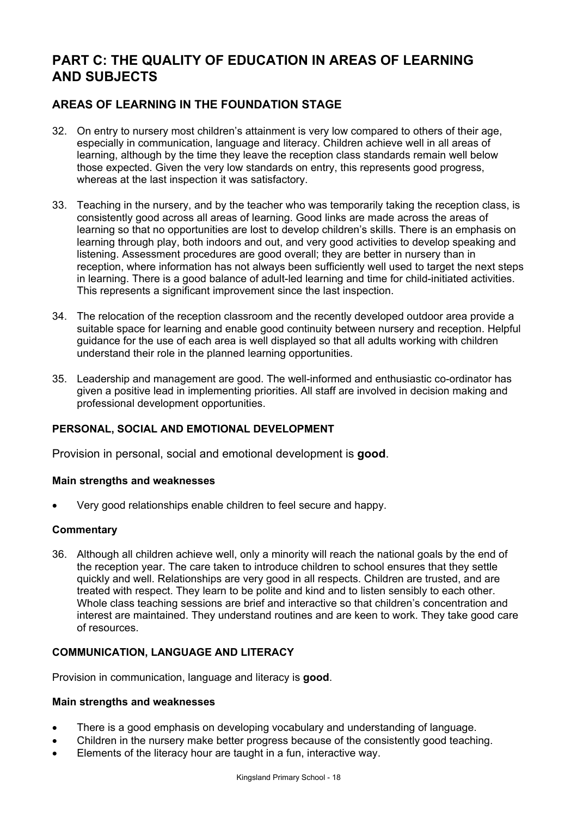# **PART C: THE QUALITY OF EDUCATION IN AREAS OF LEARNING AND SUBJECTS**

# **AREAS OF LEARNING IN THE FOUNDATION STAGE**

- 32. On entry to nursery most children's attainment is very low compared to others of their age, especially in communication, language and literacy. Children achieve well in all areas of learning, although by the time they leave the reception class standards remain well below those expected. Given the very low standards on entry, this represents good progress, whereas at the last inspection it was satisfactory.
- 33. Teaching in the nursery, and by the teacher who was temporarily taking the reception class, is consistently good across all areas of learning. Good links are made across the areas of learning so that no opportunities are lost to develop children's skills. There is an emphasis on learning through play, both indoors and out, and very good activities to develop speaking and listening. Assessment procedures are good overall; they are better in nursery than in reception, where information has not always been sufficiently well used to target the next steps in learning. There is a good balance of adult-led learning and time for child-initiated activities. This represents a significant improvement since the last inspection.
- 34. The relocation of the reception classroom and the recently developed outdoor area provide a suitable space for learning and enable good continuity between nursery and reception. Helpful guidance for the use of each area is well displayed so that all adults working with children understand their role in the planned learning opportunities.
- 35. Leadership and management are good. The well-informed and enthusiastic co-ordinator has given a positive lead in implementing priorities. All staff are involved in decision making and professional development opportunities.

# **PERSONAL, SOCIAL AND EMOTIONAL DEVELOPMENT**

Provision in personal, social and emotional development is **good**.

# **Main strengths and weaknesses**

• Very good relationships enable children to feel secure and happy.

# **Commentary**

36. Although all children achieve well, only a minority will reach the national goals by the end of the reception year. The care taken to introduce children to school ensures that they settle quickly and well. Relationships are very good in all respects. Children are trusted, and are treated with respect. They learn to be polite and kind and to listen sensibly to each other. Whole class teaching sessions are brief and interactive so that children's concentration and interest are maintained. They understand routines and are keen to work. They take good care of resources.

# **COMMUNICATION, LANGUAGE AND LITERACY**

Provision in communication, language and literacy is **good**.

# **Main strengths and weaknesses**

- There is a good emphasis on developing vocabulary and understanding of language.
- Children in the nursery make better progress because of the consistently good teaching.
- Elements of the literacy hour are taught in a fun, interactive way.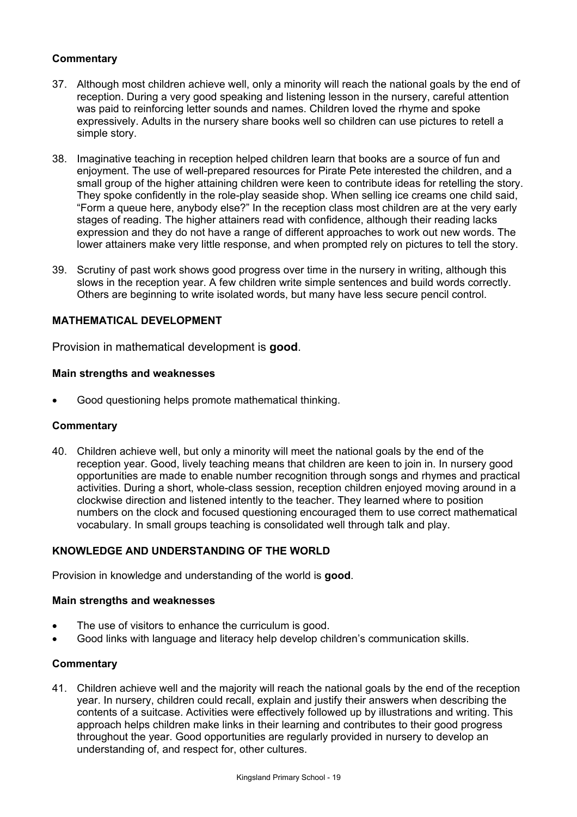# **Commentary**

- 37. Although most children achieve well, only a minority will reach the national goals by the end of reception. During a very good speaking and listening lesson in the nursery, careful attention was paid to reinforcing letter sounds and names. Children loved the rhyme and spoke expressively. Adults in the nursery share books well so children can use pictures to retell a simple story.
- 38. Imaginative teaching in reception helped children learn that books are a source of fun and enjoyment. The use of well-prepared resources for Pirate Pete interested the children, and a small group of the higher attaining children were keen to contribute ideas for retelling the story. They spoke confidently in the role-play seaside shop. When selling ice creams one child said, "Form a queue here, anybody else?" In the reception class most children are at the very early stages of reading. The higher attainers read with confidence, although their reading lacks expression and they do not have a range of different approaches to work out new words. The lower attainers make very little response, and when prompted rely on pictures to tell the story.
- 39. Scrutiny of past work shows good progress over time in the nursery in writing, although this slows in the reception year. A few children write simple sentences and build words correctly. Others are beginning to write isolated words, but many have less secure pencil control.

# **MATHEMATICAL DEVELOPMENT**

Provision in mathematical development is **good**.

### **Main strengths and weaknesses**

• Good questioning helps promote mathematical thinking.

#### **Commentary**

40. Children achieve well, but only a minority will meet the national goals by the end of the reception year. Good, lively teaching means that children are keen to join in. In nursery good opportunities are made to enable number recognition through songs and rhymes and practical activities. During a short, whole-class session, reception children enjoyed moving around in a clockwise direction and listened intently to the teacher. They learned where to position numbers on the clock and focused questioning encouraged them to use correct mathematical vocabulary. In small groups teaching is consolidated well through talk and play.

# **KNOWLEDGE AND UNDERSTANDING OF THE WORLD**

Provision in knowledge and understanding of the world is **good**.

#### **Main strengths and weaknesses**

- The use of visitors to enhance the curriculum is good.
- Good links with language and literacy help develop children's communication skills.

# **Commentary**

41. Children achieve well and the majority will reach the national goals by the end of the reception year. In nursery, children could recall, explain and justify their answers when describing the contents of a suitcase. Activities were effectively followed up by illustrations and writing. This approach helps children make links in their learning and contributes to their good progress throughout the year. Good opportunities are regularly provided in nursery to develop an understanding of, and respect for, other cultures.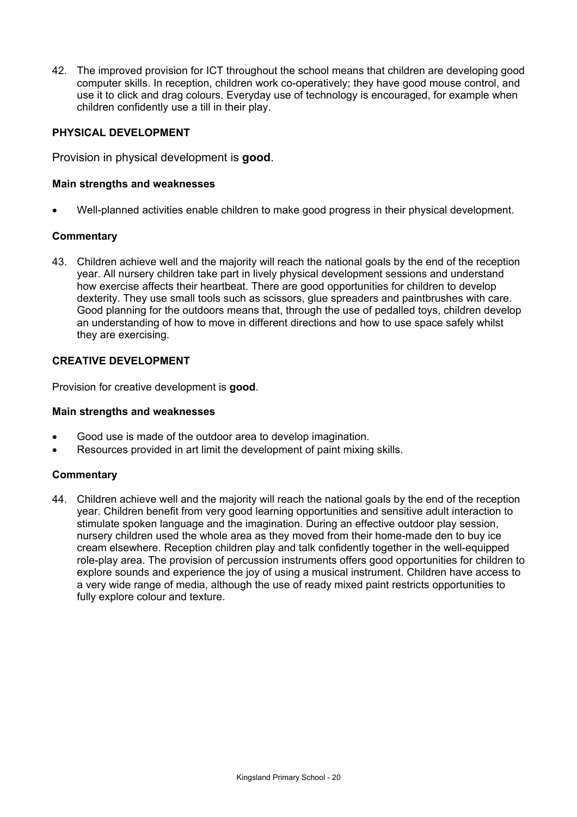42. The improved provision for ICT throughout the school means that children are developing good computer skills. In reception, children work co-operatively; they have good mouse control, and use it to click and drag colours. Everyday use of technology is encouraged, for example when children confidently use a till in their play.

# **PHYSICAL DEVELOPMENT**

Provision in physical development is **good**.

## **Main strengths and weaknesses**

• Well-planned activities enable children to make good progress in their physical development.

### **Commentary**

43. Children achieve well and the majority will reach the national goals by the end of the reception year. All nursery children take part in lively physical development sessions and understand how exercise affects their heartbeat. There are good opportunities for children to develop dexterity. They use small tools such as scissors, glue spreaders and paintbrushes with care. Good planning for the outdoors means that, through the use of pedalled toys, children develop an understanding of how to move in different directions and how to use space safely whilst they are exercising.

# **CREATIVE DEVELOPMENT**

Provision for creative development is **good**.

#### **Main strengths and weaknesses**

- Good use is made of the outdoor area to develop imagination.
- Resources provided in art limit the development of paint mixing skills.

#### **Commentary**

44. Children achieve well and the majority will reach the national goals by the end of the reception year. Children benefit from very good learning opportunities and sensitive adult interaction to stimulate spoken language and the imagination. During an effective outdoor play session, nursery children used the whole area as they moved from their home-made den to buy ice cream elsewhere. Reception children play and talk confidently together in the well-equipped role-play area. The provision of percussion instruments offers good opportunities for children to explore sounds and experience the joy of using a musical instrument. Children have access to a very wide range of media, although the use of ready mixed paint restricts opportunities to fully explore colour and texture.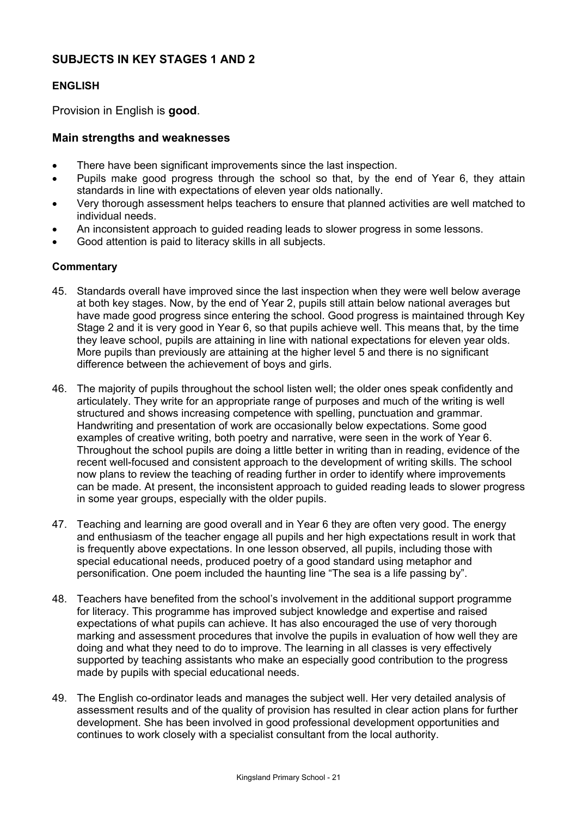# **SUBJECTS IN KEY STAGES 1 AND 2**

# **ENGLISH**

Provision in English is **good**.

# **Main strengths and weaknesses**

- There have been significant improvements since the last inspection.
- Pupils make good progress through the school so that, by the end of Year 6, they attain standards in line with expectations of eleven year olds nationally.
- Very thorough assessment helps teachers to ensure that planned activities are well matched to individual needs.
- An inconsistent approach to guided reading leads to slower progress in some lessons.
- Good attention is paid to literacy skills in all subjects.

# **Commentary**

- 45. Standards overall have improved since the last inspection when they were well below average at both key stages. Now, by the end of Year 2, pupils still attain below national averages but have made good progress since entering the school. Good progress is maintained through Key Stage 2 and it is very good in Year 6, so that pupils achieve well. This means that, by the time they leave school, pupils are attaining in line with national expectations for eleven year olds. More pupils than previously are attaining at the higher level 5 and there is no significant difference between the achievement of boys and girls.
- 46. The majority of pupils throughout the school listen well; the older ones speak confidently and articulately. They write for an appropriate range of purposes and much of the writing is well structured and shows increasing competence with spelling, punctuation and grammar. Handwriting and presentation of work are occasionally below expectations. Some good examples of creative writing, both poetry and narrative, were seen in the work of Year 6. Throughout the school pupils are doing a little better in writing than in reading, evidence of the recent well-focused and consistent approach to the development of writing skills. The school now plans to review the teaching of reading further in order to identify where improvements can be made. At present, the inconsistent approach to guided reading leads to slower progress in some year groups, especially with the older pupils.
- 47. Teaching and learning are good overall and in Year 6 they are often very good. The energy and enthusiasm of the teacher engage all pupils and her high expectations result in work that is frequently above expectations. In one lesson observed, all pupils, including those with special educational needs, produced poetry of a good standard using metaphor and personification. One poem included the haunting line "The sea is a life passing by".
- 48. Teachers have benefited from the school's involvement in the additional support programme for literacy. This programme has improved subject knowledge and expertise and raised expectations of what pupils can achieve. It has also encouraged the use of very thorough marking and assessment procedures that involve the pupils in evaluation of how well they are doing and what they need to do to improve. The learning in all classes is very effectively supported by teaching assistants who make an especially good contribution to the progress made by pupils with special educational needs.
- 49. The English co-ordinator leads and manages the subject well. Her very detailed analysis of assessment results and of the quality of provision has resulted in clear action plans for further development. She has been involved in good professional development opportunities and continues to work closely with a specialist consultant from the local authority.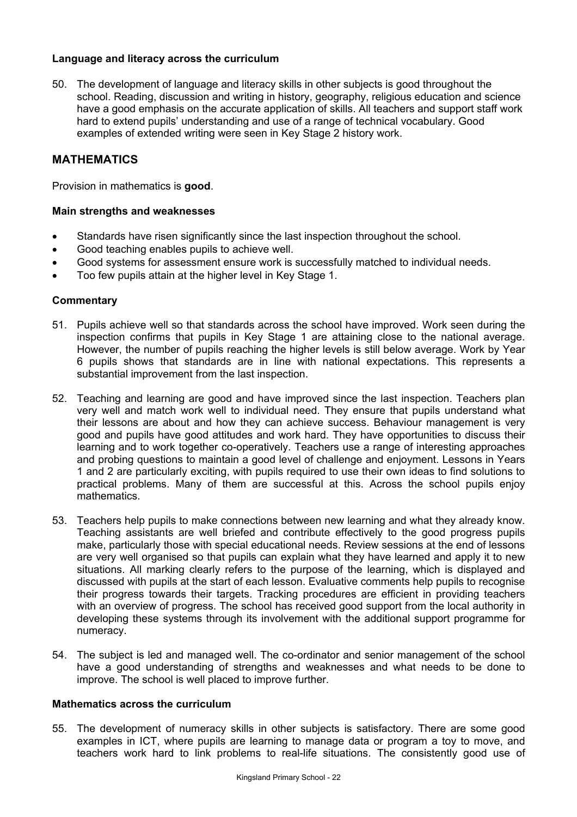# **Language and literacy across the curriculum**

50. The development of language and literacy skills in other subjects is good throughout the school. Reading, discussion and writing in history, geography, religious education and science have a good emphasis on the accurate application of skills. All teachers and support staff work hard to extend pupils' understanding and use of a range of technical vocabulary. Good examples of extended writing were seen in Key Stage 2 history work.

# **MATHEMATICS**

Provision in mathematics is **good**.

### **Main strengths and weaknesses**

- Standards have risen significantly since the last inspection throughout the school.
- Good teaching enables pupils to achieve well.
- Good systems for assessment ensure work is successfully matched to individual needs.
- Too few pupils attain at the higher level in Key Stage 1.

### **Commentary**

- 51. Pupils achieve well so that standards across the school have improved. Work seen during the inspection confirms that pupils in Key Stage 1 are attaining close to the national average. However, the number of pupils reaching the higher levels is still below average. Work by Year 6 pupils shows that standards are in line with national expectations. This represents a substantial improvement from the last inspection.
- 52. Teaching and learning are good and have improved since the last inspection. Teachers plan very well and match work well to individual need. They ensure that pupils understand what their lessons are about and how they can achieve success. Behaviour management is very good and pupils have good attitudes and work hard. They have opportunities to discuss their learning and to work together co-operatively. Teachers use a range of interesting approaches and probing questions to maintain a good level of challenge and enjoyment. Lessons in Years 1 and 2 are particularly exciting, with pupils required to use their own ideas to find solutions to practical problems. Many of them are successful at this. Across the school pupils enjoy mathematics.
- 53. Teachers help pupils to make connections between new learning and what they already know. Teaching assistants are well briefed and contribute effectively to the good progress pupils make, particularly those with special educational needs. Review sessions at the end of lessons are very well organised so that pupils can explain what they have learned and apply it to new situations. All marking clearly refers to the purpose of the learning, which is displayed and discussed with pupils at the start of each lesson. Evaluative comments help pupils to recognise their progress towards their targets. Tracking procedures are efficient in providing teachers with an overview of progress. The school has received good support from the local authority in developing these systems through its involvement with the additional support programme for numeracy.
- 54. The subject is led and managed well. The co-ordinator and senior management of the school have a good understanding of strengths and weaknesses and what needs to be done to improve. The school is well placed to improve further.

#### **Mathematics across the curriculum**

55. The development of numeracy skills in other subjects is satisfactory. There are some good examples in ICT, where pupils are learning to manage data or program a toy to move, and teachers work hard to link problems to real-life situations. The consistently good use of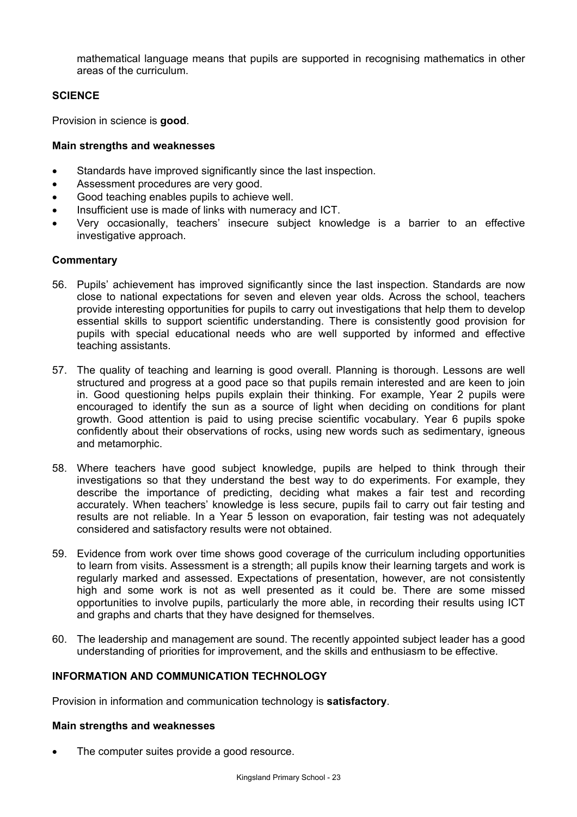mathematical language means that pupils are supported in recognising mathematics in other areas of the curriculum.

# **SCIENCE**

Provision in science is **good**.

## **Main strengths and weaknesses**

- Standards have improved significantly since the last inspection.
- Assessment procedures are very good.
- Good teaching enables pupils to achieve well.
- Insufficient use is made of links with numeracy and ICT.
- Very occasionally, teachers' insecure subject knowledge is a barrier to an effective investigative approach.

# **Commentary**

- 56. Pupils' achievement has improved significantly since the last inspection. Standards are now close to national expectations for seven and eleven year olds. Across the school, teachers provide interesting opportunities for pupils to carry out investigations that help them to develop essential skills to support scientific understanding. There is consistently good provision for pupils with special educational needs who are well supported by informed and effective teaching assistants.
- 57. The quality of teaching and learning is good overall. Planning is thorough. Lessons are well structured and progress at a good pace so that pupils remain interested and are keen to join in. Good questioning helps pupils explain their thinking. For example, Year 2 pupils were encouraged to identify the sun as a source of light when deciding on conditions for plant growth. Good attention is paid to using precise scientific vocabulary. Year 6 pupils spoke confidently about their observations of rocks, using new words such as sedimentary, igneous and metamorphic.
- 58. Where teachers have good subject knowledge, pupils are helped to think through their investigations so that they understand the best way to do experiments. For example, they describe the importance of predicting, deciding what makes a fair test and recording accurately. When teachers' knowledge is less secure, pupils fail to carry out fair testing and results are not reliable. In a Year 5 lesson on evaporation, fair testing was not adequately considered and satisfactory results were not obtained.
- 59. Evidence from work over time shows good coverage of the curriculum including opportunities to learn from visits. Assessment is a strength; all pupils know their learning targets and work is regularly marked and assessed. Expectations of presentation, however, are not consistently high and some work is not as well presented as it could be. There are some missed opportunities to involve pupils, particularly the more able, in recording their results using ICT and graphs and charts that they have designed for themselves.
- 60. The leadership and management are sound. The recently appointed subject leader has a good understanding of priorities for improvement, and the skills and enthusiasm to be effective.

# **INFORMATION AND COMMUNICATION TECHNOLOGY**

Provision in information and communication technology is **satisfactory**.

#### **Main strengths and weaknesses**

The computer suites provide a good resource.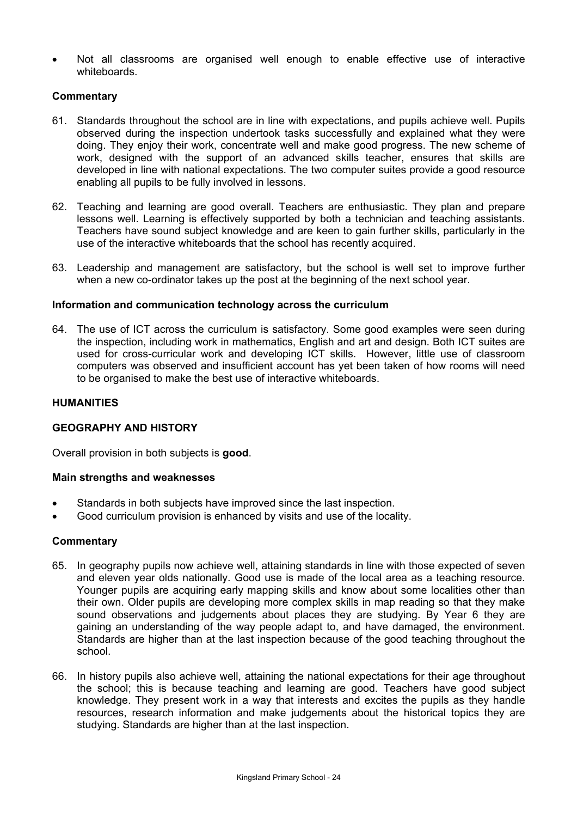• Not all classrooms are organised well enough to enable effective use of interactive whiteboards.

# **Commentary**

- 61. Standards throughout the school are in line with expectations, and pupils achieve well. Pupils observed during the inspection undertook tasks successfully and explained what they were doing. They enjoy their work, concentrate well and make good progress. The new scheme of work, designed with the support of an advanced skills teacher, ensures that skills are developed in line with national expectations. The two computer suites provide a good resource enabling all pupils to be fully involved in lessons.
- 62. Teaching and learning are good overall. Teachers are enthusiastic. They plan and prepare lessons well. Learning is effectively supported by both a technician and teaching assistants. Teachers have sound subject knowledge and are keen to gain further skills, particularly in the use of the interactive whiteboards that the school has recently acquired.
- 63. Leadership and management are satisfactory, but the school is well set to improve further when a new co-ordinator takes up the post at the beginning of the next school year.

### **Information and communication technology across the curriculum**

64. The use of ICT across the curriculum is satisfactory. Some good examples were seen during the inspection, including work in mathematics, English and art and design. Both ICT suites are used for cross-curricular work and developing ICT skills. However, little use of classroom computers was observed and insufficient account has yet been taken of how rooms will need to be organised to make the best use of interactive whiteboards.

### **HUMANITIES**

# **GEOGRAPHY AND HISTORY**

Overall provision in both subjects is **good**.

#### **Main strengths and weaknesses**

- Standards in both subjects have improved since the last inspection.
- Good curriculum provision is enhanced by visits and use of the locality.

#### **Commentary**

- 65. In geography pupils now achieve well, attaining standards in line with those expected of seven and eleven year olds nationally. Good use is made of the local area as a teaching resource. Younger pupils are acquiring early mapping skills and know about some localities other than their own. Older pupils are developing more complex skills in map reading so that they make sound observations and judgements about places they are studying. By Year 6 they are gaining an understanding of the way people adapt to, and have damaged, the environment. Standards are higher than at the last inspection because of the good teaching throughout the school.
- 66. In history pupils also achieve well, attaining the national expectations for their age throughout the school; this is because teaching and learning are good. Teachers have good subject knowledge. They present work in a way that interests and excites the pupils as they handle resources, research information and make judgements about the historical topics they are studying. Standards are higher than at the last inspection.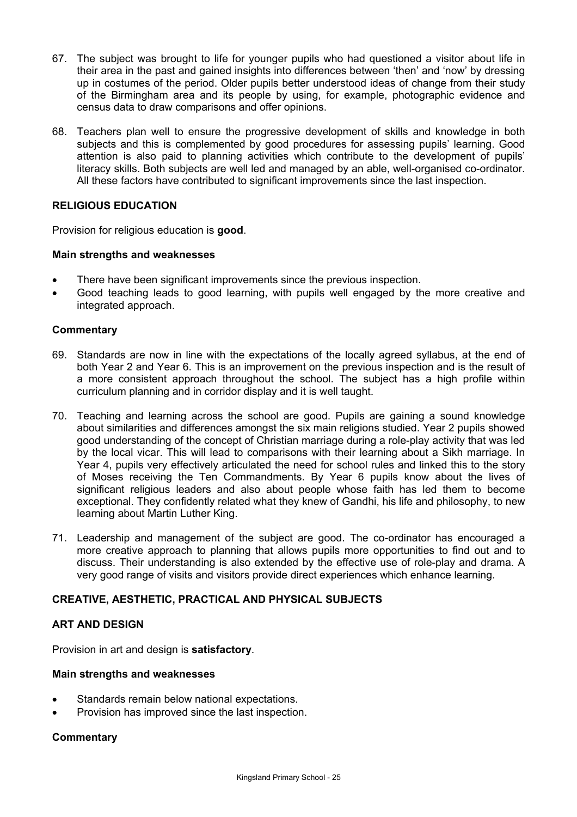- 67. The subject was brought to life for younger pupils who had questioned a visitor about life in their area in the past and gained insights into differences between 'then' and 'now' by dressing up in costumes of the period. Older pupils better understood ideas of change from their study of the Birmingham area and its people by using, for example, photographic evidence and census data to draw comparisons and offer opinions.
- 68. Teachers plan well to ensure the progressive development of skills and knowledge in both subjects and this is complemented by good procedures for assessing pupils' learning. Good attention is also paid to planning activities which contribute to the development of pupils' literacy skills. Both subjects are well led and managed by an able, well-organised co-ordinator. All these factors have contributed to significant improvements since the last inspection.

# **RELIGIOUS EDUCATION**

Provision for religious education is **good**.

# **Main strengths and weaknesses**

- There have been significant improvements since the previous inspection.
- Good teaching leads to good learning, with pupils well engaged by the more creative and integrated approach.

### **Commentary**

- 69. Standards are now in line with the expectations of the locally agreed syllabus, at the end of both Year 2 and Year 6. This is an improvement on the previous inspection and is the result of a more consistent approach throughout the school. The subject has a high profile within curriculum planning and in corridor display and it is well taught.
- 70. Teaching and learning across the school are good. Pupils are gaining a sound knowledge about similarities and differences amongst the six main religions studied. Year 2 pupils showed good understanding of the concept of Christian marriage during a role-play activity that was led by the local vicar. This will lead to comparisons with their learning about a Sikh marriage. In Year 4, pupils very effectively articulated the need for school rules and linked this to the story of Moses receiving the Ten Commandments. By Year 6 pupils know about the lives of significant religious leaders and also about people whose faith has led them to become exceptional. They confidently related what they knew of Gandhi, his life and philosophy, to new learning about Martin Luther King.
- 71. Leadership and management of the subject are good. The co-ordinator has encouraged a more creative approach to planning that allows pupils more opportunities to find out and to discuss. Their understanding is also extended by the effective use of role-play and drama. A very good range of visits and visitors provide direct experiences which enhance learning.

# **CREATIVE, AESTHETIC, PRACTICAL AND PHYSICAL SUBJECTS**

# **ART AND DESIGN**

Provision in art and design is **satisfactory**.

#### **Main strengths and weaknesses**

- Standards remain below national expectations.
- Provision has improved since the last inspection.

# **Commentary**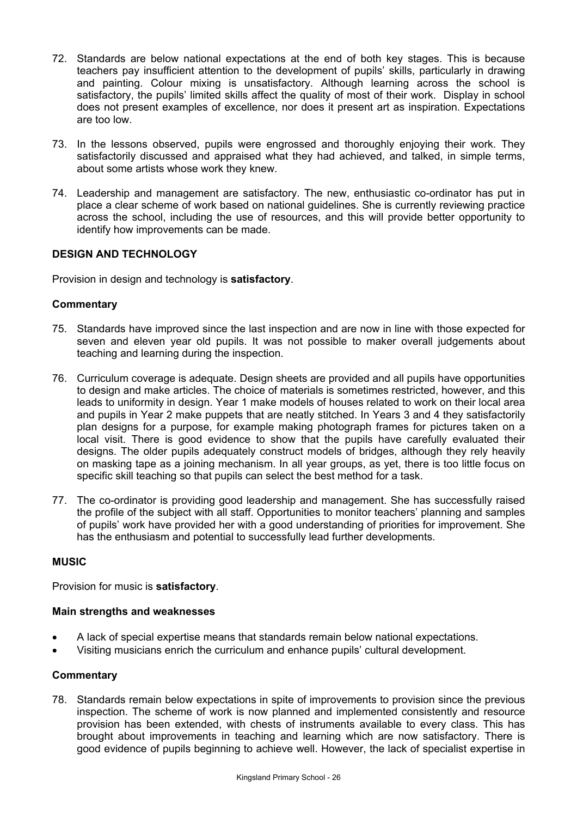- 72. Standards are below national expectations at the end of both key stages. This is because teachers pay insufficient attention to the development of pupils' skills, particularly in drawing and painting. Colour mixing is unsatisfactory. Although learning across the school is satisfactory, the pupils' limited skills affect the quality of most of their work. Display in school does not present examples of excellence, nor does it present art as inspiration. Expectations are too low.
- 73. In the lessons observed, pupils were engrossed and thoroughly enjoying their work. They satisfactorily discussed and appraised what they had achieved, and talked, in simple terms, about some artists whose work they knew.
- 74. Leadership and management are satisfactory. The new, enthusiastic co-ordinator has put in place a clear scheme of work based on national guidelines. She is currently reviewing practice across the school, including the use of resources, and this will provide better opportunity to identify how improvements can be made.

# **DESIGN AND TECHNOLOGY**

Provision in design and technology is **satisfactory**.

### **Commentary**

- 75. Standards have improved since the last inspection and are now in line with those expected for seven and eleven year old pupils. It was not possible to maker overall judgements about teaching and learning during the inspection.
- 76. Curriculum coverage is adequate. Design sheets are provided and all pupils have opportunities to design and make articles. The choice of materials is sometimes restricted, however, and this leads to uniformity in design. Year 1 make models of houses related to work on their local area and pupils in Year 2 make puppets that are neatly stitched. In Years 3 and 4 they satisfactorily plan designs for a purpose, for example making photograph frames for pictures taken on a local visit. There is good evidence to show that the pupils have carefully evaluated their designs. The older pupils adequately construct models of bridges, although they rely heavily on masking tape as a joining mechanism. In all year groups, as yet, there is too little focus on specific skill teaching so that pupils can select the best method for a task.
- 77. The co-ordinator is providing good leadership and management. She has successfully raised the profile of the subject with all staff. Opportunities to monitor teachers' planning and samples of pupils' work have provided her with a good understanding of priorities for improvement. She has the enthusiasm and potential to successfully lead further developments.

#### **MUSIC**

Provision for music is **satisfactory**.

#### **Main strengths and weaknesses**

- A lack of special expertise means that standards remain below national expectations.
- Visiting musicians enrich the curriculum and enhance pupils' cultural development.

## **Commentary**

78. Standards remain below expectations in spite of improvements to provision since the previous inspection. The scheme of work is now planned and implemented consistently and resource provision has been extended, with chests of instruments available to every class. This has brought about improvements in teaching and learning which are now satisfactory. There is good evidence of pupils beginning to achieve well. However, the lack of specialist expertise in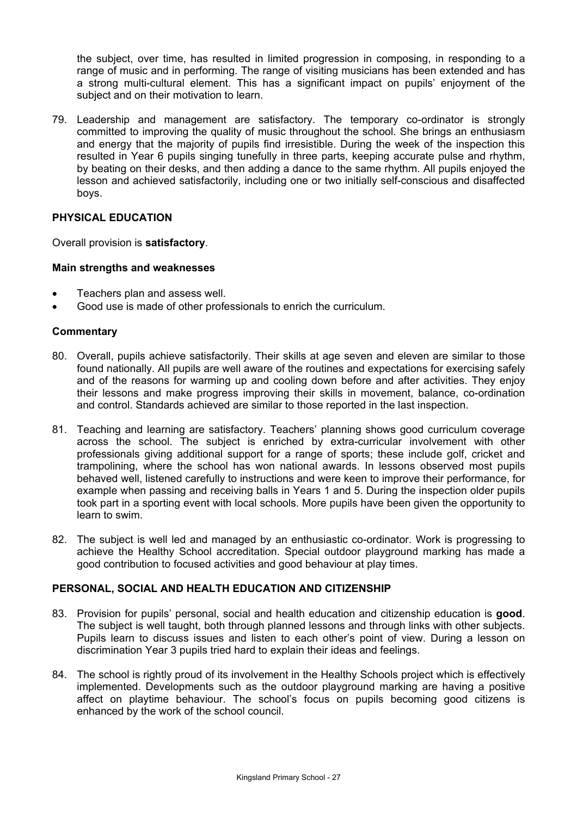the subject, over time, has resulted in limited progression in composing, in responding to a range of music and in performing. The range of visiting musicians has been extended and has a strong multi-cultural element. This has a significant impact on pupils' enjoyment of the subject and on their motivation to learn.

79. Leadership and management are satisfactory. The temporary co-ordinator is strongly committed to improving the quality of music throughout the school. She brings an enthusiasm and energy that the majority of pupils find irresistible. During the week of the inspection this resulted in Year 6 pupils singing tunefully in three parts, keeping accurate pulse and rhythm, by beating on their desks, and then adding a dance to the same rhythm. All pupils enjoyed the lesson and achieved satisfactorily, including one or two initially self-conscious and disaffected boys.

# **PHYSICAL EDUCATION**

Overall provision is **satisfactory**.

### **Main strengths and weaknesses**

- Teachers plan and assess well.
- Good use is made of other professionals to enrich the curriculum.

### **Commentary**

- 80. Overall, pupils achieve satisfactorily. Their skills at age seven and eleven are similar to those found nationally. All pupils are well aware of the routines and expectations for exercising safely and of the reasons for warming up and cooling down before and after activities. They enjoy their lessons and make progress improving their skills in movement, balance, co-ordination and control. Standards achieved are similar to those reported in the last inspection.
- 81. Teaching and learning are satisfactory. Teachers' planning shows good curriculum coverage across the school. The subject is enriched by extra-curricular involvement with other professionals giving additional support for a range of sports; these include golf, cricket and trampolining, where the school has won national awards. In lessons observed most pupils behaved well, listened carefully to instructions and were keen to improve their performance, for example when passing and receiving balls in Years 1 and 5. During the inspection older pupils took part in a sporting event with local schools. More pupils have been given the opportunity to learn to swim.
- 82. The subject is well led and managed by an enthusiastic co-ordinator. Work is progressing to achieve the Healthy School accreditation. Special outdoor playground marking has made a good contribution to focused activities and good behaviour at play times.

# **PERSONAL, SOCIAL AND HEALTH EDUCATION AND CITIZENSHIP**

- 83. Provision for pupils' personal, social and health education and citizenship education is **good**. The subject is well taught, both through planned lessons and through links with other subjects. Pupils learn to discuss issues and listen to each other's point of view. During a lesson on discrimination Year 3 pupils tried hard to explain their ideas and feelings.
- 84. The school is rightly proud of its involvement in the Healthy Schools project which is effectively implemented. Developments such as the outdoor playground marking are having a positive affect on playtime behaviour. The school's focus on pupils becoming good citizens is enhanced by the work of the school council.